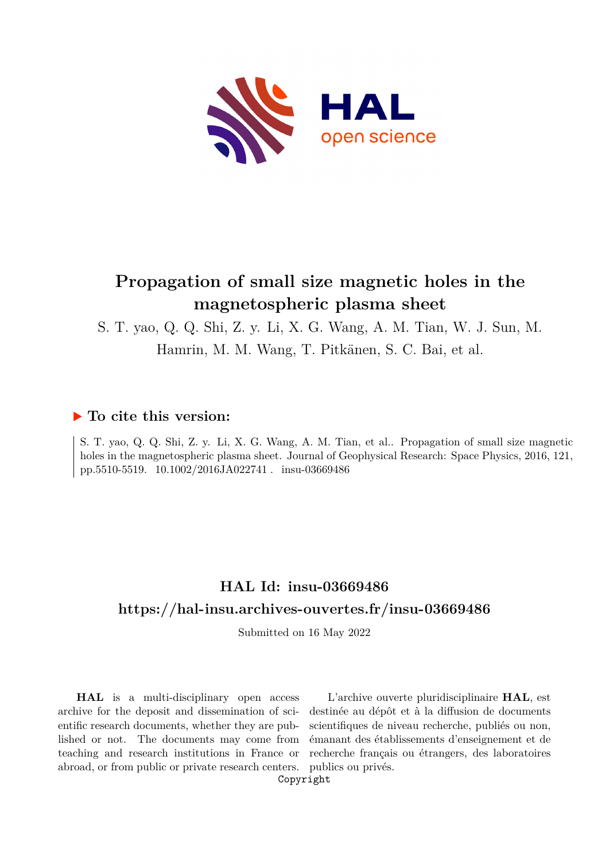

# **Propagation of small size magnetic holes in the magnetospheric plasma sheet**

S. T. yao, Q. Q. Shi, Z. y. Li, X. G. Wang, A. M. Tian, W. J. Sun, M. Hamrin, M. M. Wang, T. Pitkänen, S. C. Bai, et al.

## **To cite this version:**

S. T. yao, Q. Q. Shi, Z. y. Li, X. G. Wang, A. M. Tian, et al.. Propagation of small size magnetic holes in the magnetospheric plasma sheet. Journal of Geophysical Research: Space Physics, 2016, 121, pp.5510-5519. 10.1002/2016JA022741 . insu-03669486

# **HAL Id: insu-03669486 <https://hal-insu.archives-ouvertes.fr/insu-03669486>**

Submitted on 16 May 2022

**HAL** is a multi-disciplinary open access archive for the deposit and dissemination of scientific research documents, whether they are published or not. The documents may come from teaching and research institutions in France or abroad, or from public or private research centers.

L'archive ouverte pluridisciplinaire **HAL**, est destinée au dépôt et à la diffusion de documents scientifiques de niveau recherche, publiés ou non, émanant des établissements d'enseignement et de recherche français ou étrangers, des laboratoires publics ou privés.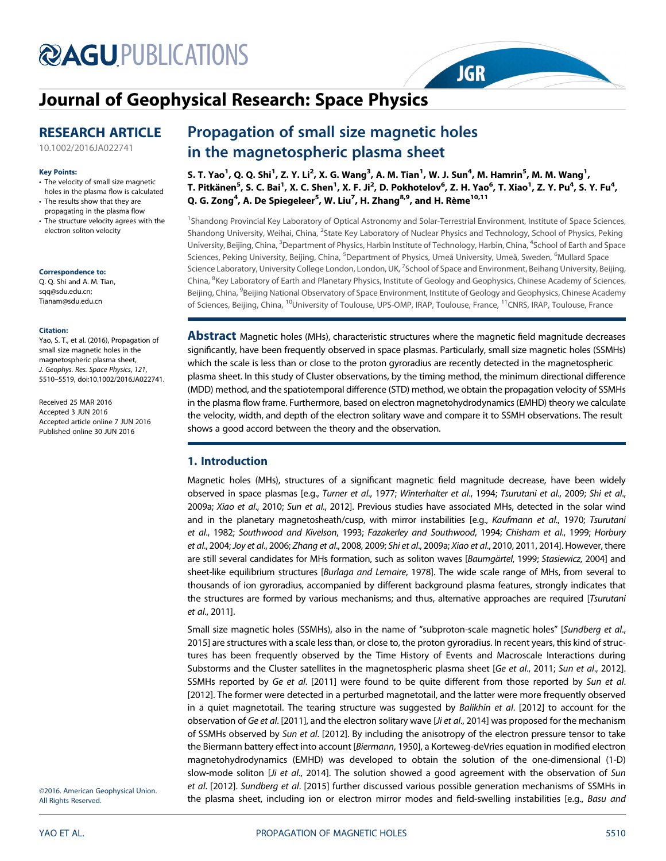# **@AGU[PUBLICATIONS](http://publications.agu.org/journals/)**

## [Journal of Geophysical Research: Space Physics](http://onlinelibrary.wiley.com/journal/10.1002/(ISSN)2169-9402)

## RESEARCH ARTICLE

[10.1002/2016JA022741](http://dx.doi.org/10.1002/2016JA022741)

#### Key Points:

- The velocity of small size magnetic holes in the plasma flow is calculated
- The results show that they are propagating in the plasma flow
- The structure velocity agrees with the electron soliton velocity

Correspondence to:

Q. Q. Shi and A. M. Tian, sqq@sdu.edu.cn; Tianam@sdu.edu.cn

#### Citation:

Yao, S. T., et al. (2016), Propagation of small size magnetic holes in the magnetospheric plasma sheet, J. Geophys. Res. Space Physics, 121, 5510–5519, doi:10.1002/2016JA022741.

Received 25 MAR 2016 Accepted 3 JUN 2016 Accepted article online 7 JUN 2016 Published online 30 JUN 2016

# Propagation of small size magnetic holes<br>in the magnetospheric plasma sheet

s. T. Yao<sup>1</sup>, Q. Q. Shi<sup>1</sup>, Z. Y. Li<sup>2</sup>, X. G. Wang<sup>3</sup>, A. M. Tian<sup>1</sup>, W. J. Sun<sup>4</sup>, M. Hamrin<sup>5</sup>, M. M. Wang<sup>1</sup>, T. Pitkänen $^5$ , S. C. Bai $^1$ , X. C. Shen $^1$ , X. F. Ji $^2$ , D. Pokhotelov $^6$ , Z. H. Yao $^6$ , T. Xiao $^1$ , Z. Y. Pu $^4$ , S. Y. Fu $^4$ , Q. G. Zong<sup>4</sup>, A. De Spiegeleer<sup>5</sup>, W. Liu<sup>7</sup>, H. Zhang<sup>8,9</sup>, and H. Rème<sup>10,11</sup>

**JGR** 

<sup>1</sup>Shandong Provincial Key Laboratory of Optical Astronomy and Solar-Terrestrial Environment, Institute of Space Sciences, Shandong University, Weihai, China, <sup>2</sup>State Key Laboratory of Nuclear Physics and Technology, School of Physics, Peking University, Beijing, China, <sup>3</sup>Department of Physics, Harbin Institute of Technology, Harbin, China, <sup>4</sup>School of Earth and Space Sciences, Peking University, Beijing, China, <sup>5</sup>Department of Physics, Umeå University, Umeå, Sweden, <sup>6</sup>Mullard Space Science Laboratory, University College London, London, UK, <sup>7</sup>School of Space and Environment, Beihang University, Beijing, China, <sup>8</sup>Key Laboratory of Earth and Planetary Physics, Institute of Geology and Geophysics, Chinese Academy of Sciences, Beijing, China, <sup>9</sup>Beijing National Observatory of Space Environment, Institute of Geology and Geophysics, Chinese Academy of Sciences, Beijing, China, 10University of Toulouse, UPS-OMP, IRAP, Toulouse, France, 11CNRS, IRAP, Toulouse, France

**Abstract** Magnetic holes (MHs), characteristic structures where the magnetic field magnitude decreases significantly, have been frequently observed in space plasmas. Particularly, small size magnetic holes (SSMHs) which the scale is less than or close to the proton gyroradius are recently detected in the magnetospheric plasma sheet. In this study of Cluster observations, by the timing method, the minimum directional difference (MDD) method, and the spatiotemporal difference (STD) method, we obtain the propagation velocity of SSMHs in the plasma flow frame. Furthermore, based on electron magnetohydrodynamics (EMHD) theory we calculate the velocity, width, and depth of the electron solitary wave and compare it to SSMH observations. The result shows a good accord between the theory and the observation.

### 1. Introduction

Magnetic holes (MHs), structures of a significant magnetic field magnitude decrease, have been widely observed in space plasmas [e.g., Turner et al., 1977; Winterhalter et al., 1994; Tsurutani et al., 2009; Shi et al., 2009a; Xiao et al., 2010; Sun et al., 2012]. Previous studies have associated MHs, detected in the solar wind and in the planetary magnetosheath/cusp, with mirror instabilities [e.g., Kaufmann et al., 1970; Tsurutani et al., 1982; Southwood and Kivelson, 1993; Fazakerley and Southwood, 1994; Chisham et al., 1999; Horbury et al., 2004; Joy et al., 2006; Zhang et al., 2008, 2009; Shi et al., 2009a; Xiao et al., 2010, 2011, 2014]. However, there are still several candidates for MHs formation, such as soliton waves [Baumgärtel, 1999; Stasiewicz, 2004] and sheet-like equilibrium structures [Burlaga and Lemaire, 1978]. The wide scale range of MHs, from several to thousands of ion gyroradius, accompanied by different background plasma features, strongly indicates that the structures are formed by various mechanisms; and thus, alternative approaches are required [Tsurutani et al., 2011].

Small size magnetic holes (SSMHs), also in the name of "subproton-scale magnetic holes" [Sundberg et al., 2015] are structures with a scale less than, or close to, the proton gyroradius. In recent years, this kind of structures has been frequently observed by the Time History of Events and Macroscale Interactions during Substorms and the Cluster satellites in the magnetospheric plasma sheet [Ge et al., 2011; Sun et al., 2012]. SSMHs reported by Ge et al. [2011] were found to be quite different from those reported by Sun et al. [2012]. The former were detected in a perturbed magnetotail, and the latter were more frequently observed in a quiet magnetotail. The tearing structure was suggested by Balikhin et al. [2012] to account for the observation of Ge et al. [2011], and the electron solitary wave [Ji et al., 2014] was proposed for the mechanism of SSMHs observed by Sun et al. [2012]. By including the anisotropy of the electron pressure tensor to take the Biermann battery effect into account [Biermann, 1950], a Korteweg-deVries equation in modified electron magnetohydrodynamics (EMHD) was developed to obtain the solution of the one-dimensional (1-D) slow-mode soliton [Ji et al., 2014]. The solution showed a good agreement with the observation of Sun et al. [2012]. Sundberg et al. [2015] further discussed various possible generation mechanisms of SSMHs in the plasma sheet, including ion or electron mirror modes and field-swelling instabilities [e.g., Basu and

©2016. American Geophysical Union. All Rights Reserved.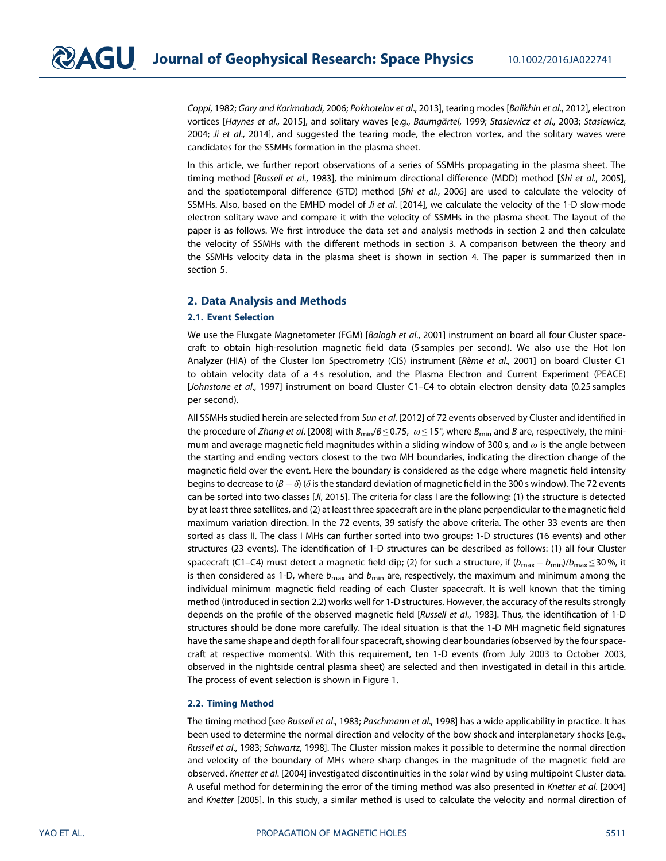Coppi, 1982; Gary and Karimabadi, 2006; Pokhotelov et al., 2013], tearing modes [Balikhin et al., 2012], electron vortices [Haynes et al., 2015], and solitary waves [e.g., Baumgärtel, 1999; Stasiewicz et al., 2003; Stasiewicz, 2004; Ji et al., 2014], and suggested the tearing mode, the electron vortex, and the solitary waves were candidates for the SSMHs formation in the plasma sheet.

In this article, we further report observations of a series of SSMHs propagating in the plasma sheet. The timing method [Russell et al., 1983], the minimum directional difference (MDD) method [Shi et al., 2005], and the spatiotemporal difference (STD) method [Shi et al., 2006] are used to calculate the velocity of SSMHs. Also, based on the EMHD model of Ji et al. [2014], we calculate the velocity of the 1-D slow-mode electron solitary wave and compare it with the velocity of SSMHs in the plasma sheet. The layout of the paper is as follows. We first introduce the data set and analysis methods in section 2 and then calculate the velocity of SSMHs with the different methods in section 3. A comparison between the theory and the SSMHs velocity data in the plasma sheet is shown in section 4. The paper is summarized then in section 5.

#### 2. Data Analysis and Methods

#### 2.1. Event Selection

We use the Fluxgate Magnetometer (FGM) [Balogh et al., 2001] instrument on board all four Cluster spacecraft to obtain high-resolution magnetic field data (5 samples per second). We also use the Hot Ion Analyzer (HIA) of the Cluster Ion Spectrometry (CIS) instrument [Rème et al., 2001] on board Cluster C1 to obtain velocity data of a 4s resolution, and the Plasma Electron and Current Experiment (PEACE) [Johnstone et al., 1997] instrument on board Cluster C1–C4 to obtain electron density data (0.25 samples per second).

All SSMHs studied herein are selected from Sun et al. [2012] of 72 events observed by Cluster and identified in the procedure of Zhang et al. [2008] with  $B_{\text{min}}/B \le 0.75$ ,  $\omega \le 15^{\circ}$ , where  $B_{\text{min}}$  and B are, respectively, the minimum and average magnetic field magnitudes within a sliding window of 300 s, and  $\omega$  is the angle between the starting and ending vectors closest to the two MH boundaries, indicating the direction change of the magnetic field over the event. Here the boundary is considered as the edge where magnetic field intensity begins to decrease to  $(B - \delta)$  ( $\delta$  is the standard deviation of magnetic field in the 300 s window). The 72 events can be sorted into two classes [Ji, 2015]. The criteria for class I are the following: (1) the structure is detected by at least three satellites, and (2) at least three spacecraft are in the plane perpendicular to the magnetic field maximum variation direction. In the 72 events, 39 satisfy the above criteria. The other 33 events are then sorted as class II. The class I MHs can further sorted into two groups: 1-D structures (16 events) and other structures (23 events). The identification of 1-D structures can be described as follows: (1) all four Cluster spacecraft (C1–C4) must detect a magnetic field dip; (2) for such a structure, if  $(b_{\text{max}} - b_{\text{min}})/b_{\text{max}} \le 30\%$ , it is then considered as 1-D, where  $b_{\text{max}}$  and  $b_{\text{min}}$  are, respectively, the maximum and minimum among the individual minimum magnetic field reading of each Cluster spacecraft. It is well known that the timing method (introduced in section 2.2) works well for 1-D structures. However, the accuracy of the results strongly depends on the profile of the observed magnetic field [Russell et al., 1983]. Thus, the identification of 1-D structures should be done more carefully. The ideal situation is that the 1-D MH magnetic field signatures have the same shape and depth for all four spacecraft, showing clear boundaries (observed by the four spacecraft at respective moments). With this requirement, ten 1-D events (from July 2003 to October 2003, observed in the nightside central plasma sheet) are selected and then investigated in detail in this article. The process of event selection is shown in Figure 1.

#### 2.2. Timing Method

The timing method [see Russell et al., 1983; Paschmann et al., 1998] has a wide applicability in practice. It has been used to determine the normal direction and velocity of the bow shock and interplanetary shocks [e.g., Russell et al., 1983; Schwartz, 1998]. The Cluster mission makes it possible to determine the normal direction and velocity of the boundary of MHs where sharp changes in the magnitude of the magnetic field are observed. Knetter et al. [2004] investigated discontinuities in the solar wind by using multipoint Cluster data. A useful method for determining the error of the timing method was also presented in Knetter et al. [2004] and Knetter [2005]. In this study, a similar method is used to calculate the velocity and normal direction of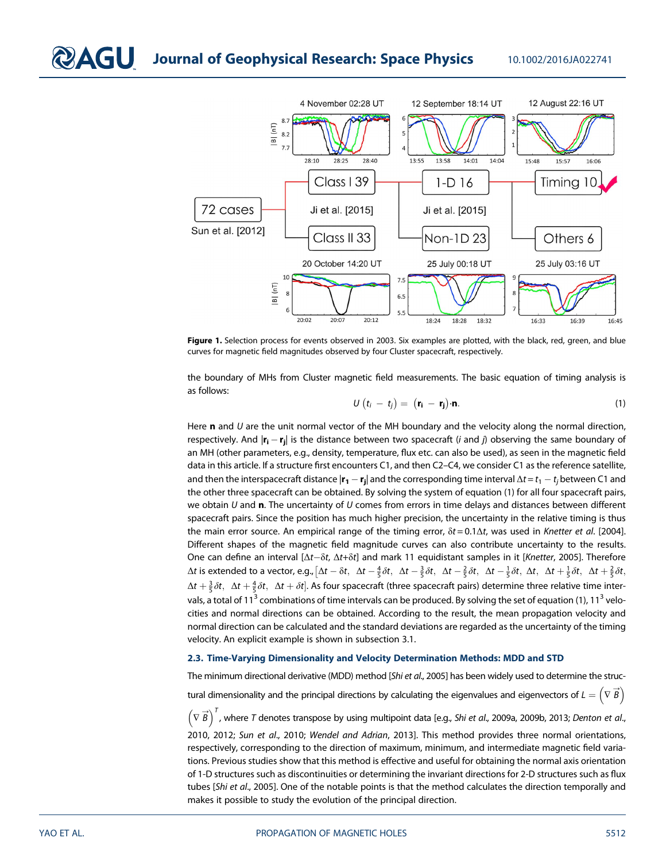

Figure 1. Selection process for events observed in 2003. Six examples are plotted, with the black, red, green, and blue curves for magnetic field magnitudes observed by four Cluster spacecraft, respectively.

the boundary of MHs from Cluster magnetic field measurements. The basic equation of timing analysis is as follows:

$$
U(t_i - t_j) = (\mathbf{r_i} - \mathbf{r_j}) \cdot \mathbf{n}.
$$
 (1)

Here **n** and  $U$  are the unit normal vector of the MH boundary and the velocity along the normal direction, respectively. And  $|\mathbf{r}_i - \mathbf{r}_i|$  is the distance between two spacecraft (*i* and *j*) observing the same boundary of an MH (other parameters, e.g., density, temperature, flux etc. can also be used), as seen in the magnetic field data in this article. If a structure first encounters C1, and then C2–C4, we consider C1 as the reference satellite, and then the interspacecraft distance  $|\mathbf{r}_1 - \mathbf{r}_i|$  and the corresponding time interval  $\Delta t = t_1 - t_i$  between C1 and the other three spacecraft can be obtained. By solving the system of equation (1) for all four spacecraft pairs, we obtain  $U$  and **n**. The uncertainty of  $U$  comes from errors in time delays and distances between different spacecraft pairs. Since the position has much higher precision, the uncertainty in the relative timing is thus the main error source. An empirical range of the timing error,  $\delta t = 0.1\Delta t$ , was used in Knetter et al. [2004]. Different shapes of the magnetic field magnitude curves can also contribute uncertainty to the results. One can define an interval [Δt-δt, Δt+δt] and mark 11 equidistant samples in it [Knetter, 2005]. Therefore  $\Delta t$  is extended to a vector, e.g.,  $\left[\Delta t-\delta t,\ \ \Delta t-\frac{4}{5}\delta t,\ \ \Delta t-\frac{3}{5}\delta t,\ \ \Delta t-\frac{2}{5}\delta t,\ \ \Delta t-\frac{1}{5}\delta t,\ \Delta t+\frac{1}{5}\delta t,\ \Delta t+\frac{2}{5}\delta t,\ \Delta t-\frac{2}{5}\delta t+\frac{1}{5}\delta t+\frac{1}{5}\delta t\right]$  $\Delta t+\frac{2}{5}\delta t$ ,  $\Delta t+\frac{4}{5}\delta t$ ,  $\Delta t+\delta t]$ . As four spacecraft (three spacecraft pairs) determine three relative time intervals, a total of 11<sup>3</sup> combinations of time intervals can be produced. By solving the set of equation (1), 11<sup>3</sup> velocities and normal directions can be obtained. According to the result, the mean propagation velocity and normal direction can be calculated and the standard deviations are regarded as the uncertainty of the timing velocity. An explicit example is shown in subsection 3.1.

#### 2.3. Time-Varying Dimensionality and Velocity Determination Methods: MDD and STD

The minimum directional derivative (MDD) method [Shi et al., 2005] has been widely used to determine the structural dimensionality and the principal directions by calculating the eigenvalues and eigenvectors of  $L = \left(\nabla \overrightarrow{B}\right)$  $\left(\nabla \vec{B}\right)^T$ , where T denotes transpose by using multipoint data [e.g., Shi et al., 2009a, 2009b, 2013; Denton et al., 2010, 2012; Sun et al., 2010; Wendel and Adrian, 2013]. This method provides three normal orientations, respectively, corresponding to the direction of maximum, minimum, and intermediate magnetic field variations. Previous studies show that this method is effective and useful for obtaining the normal axis orientation of 1-D structures such as discontinuities or determining the invariant directions for 2-D structures such as flux tubes [Shi et al., 2005]. One of the notable points is that the method calculates the direction temporally and makes it possible to study the evolution of the principal direction.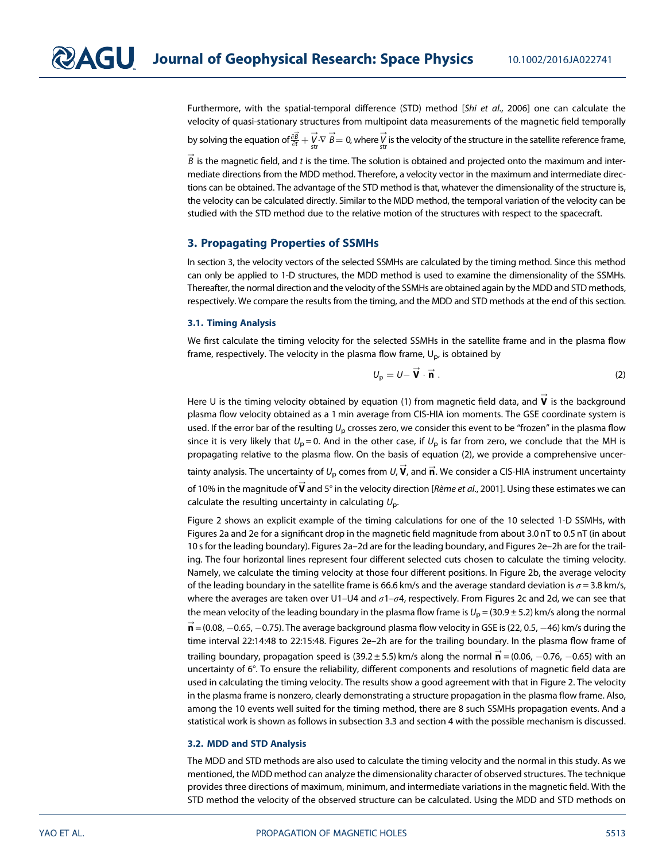Furthermore, with the spatial-temporal difference (STD) method [Shi et al., 2006] one can calculate the velocity of quasi-stationary structures from multipoint data measurements of the magnetic field temporally

by solving the equation of $\frac{\partial \vec{B}}{\partial t}+\vec{V}\cdot\nabla\overrightarrow{B}=0$ , where  $\vec{V}$  is the velocity of the structure in the satellite reference frame,

 $\stackrel{\rightarrow}{B}$  is the magnetic field, and  $t$  is the time. The solution is obtained and projected onto the maximum and intermediate directions from the MDD method. Therefore, a velocity vector in the maximum and intermediate directions can be obtained. The advantage of the STD method is that, whatever the dimensionality of the structure is, the velocity can be calculated directly. Similar to the MDD method, the temporal variation of the velocity can be studied with the STD method due to the relative motion of the structures with respect to the spacecraft.

#### 3. Propagating Properties of SSMHs

In section 3, the velocity vectors of the selected SSMHs are calculated by the timing method. Since this method can only be applied to 1-D structures, the MDD method is used to examine the dimensionality of the SSMHs. Thereafter, the normal direction and the velocity of the SSMHs are obtained again by the MDD and STD methods, respectively. We compare the results from the timing, and the MDD and STD methods at the end of this section.

#### 3.1. Timing Analysis

We first calculate the timing velocity for the selected SSMHs in the satellite frame and in the plasma flow frame, respectively. The velocity in the plasma flow frame,  $U_{\text{p}}$ , is obtained by

$$
U_{\rm p} = U - \vec{V} \cdot \vec{n} \tag{2}
$$

Here U is the timing velocity obtained by equation (1) from magnetic field data, and  $\vec{\mathsf{v}}$  is the background plasma flow velocity obtained as a 1 min average from CIS-HIA ion moments. The GSE coordinate system is used. If the error bar of the resulting  $U_{\rm p}$  crosses zero, we consider this event to be "frozen" in the plasma flow since it is very likely that  $U_p = 0$ . And in the other case, if  $U_p$  is far from zero, we conclude that the MH is propagating relative to the plasma flow. On the basis of equation (2), we provide a comprehensive uncertainty analysis. The uncertainty of  $U_\mathsf{p}$  comes from  $U_\mathsf{r}$   $\overrightarrow{\mathsf{V}}$ , and  $\overrightarrow{\mathsf{n}}$ . We consider a CIS-HIA instrument uncertainty of 10% in the magnitude of  $\stackrel{\rightharpoonup }{ \mathsf{v}}$  and 5° in the velocity direction [*Rème et al.,* 2001]. Using these estimates we can

calculate the resulting uncertainty in calculating  $U_{\text{p}}$ .

Figure 2 shows an explicit example of the timing calculations for one of the 10 selected 1-D SSMHs, with Figures 2a and 2e for a significant drop in the magnetic field magnitude from about 3.0 nT to 0.5 nT (in about 10 s for the leading boundary). Figures 2a–2d are for the leading boundary, and Figures 2e–2h are for the trailing. The four horizontal lines represent four different selected cuts chosen to calculate the timing velocity. Namely, we calculate the timing velocity at those four different positions. In Figure 2b, the average velocity of the leading boundary in the satellite frame is 66.6 km/s and the average standard deviation is  $\sigma$  = 3.8 km/s, where the averages are taken over U1–U4 and  $\sigma$ 1– $\sigma$ 4, respectively. From Figures 2c and 2d, we can see that the mean velocity of the leading boundary in the plasma flow frame is  $U_{\rm p}$  = (30.9 ± 5.2) km/s along the normal  $\overrightarrow{\mathbf{n}}$  = (0.08,  $-$  0.65,  $-$  0.75). The average background plasma flow velocity in GSE is (22, 0.5,  $-$  46) km/s during the time interval 22:14:48 to 22:15:48. Figures 2e–2h are for the trailing boundary. In the plasma flow frame of trailing boundary, propagation speed is (39.2 ± 5.5) km/s along the normal  $\vec{\textbf{n}}$  = (0.06,  $-0.76$ ,  $-0.65)$  with an uncertainty of 6°. To ensure the reliability, different components and resolutions of magnetic field data are used in calculating the timing velocity. The results show a good agreement with that in Figure 2. The velocity in the plasma frame is nonzero, clearly demonstrating a structure propagation in the plasma flow frame. Also, among the 10 events well suited for the timing method, there are 8 such SSMHs propagation events. And a statistical work is shown as follows in subsection 3.3 and section 4 with the possible mechanism is discussed.

#### 3.2. MDD and STD Analysis

The MDD and STD methods are also used to calculate the timing velocity and the normal in this study. As we mentioned, the MDD method can analyze the dimensionality character of observed structures. The technique provides three directions of maximum, minimum, and intermediate variations in the magnetic field. With the STD method the velocity of the observed structure can be calculated. Using the MDD and STD methods on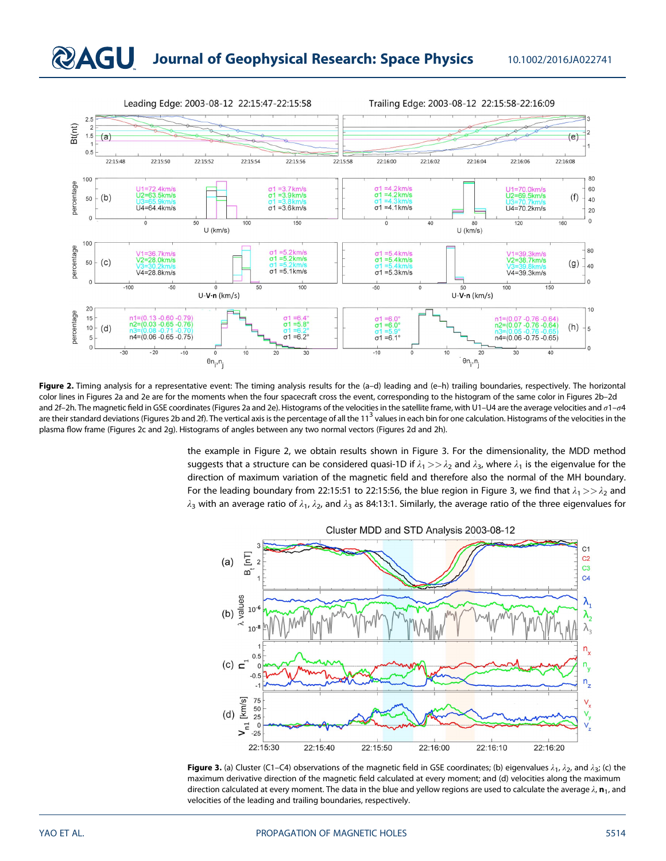

Figure 2. Timing analysis for a representative event: The timing analysis results for the (a-d) leading and (e-h) trailing boundaries, respectively. The horizontal color lines in Figures 2a and 2e are for the moments when the four spacecraft cross the event, corresponding to the histogram of the same color in Figures 2b–2d and 2f-2h. The magnetic field in GSE coordinates (Figures 2a and 2e). Histograms of the velocities in the satellite frame, with U1-U4 are the average velocities and  $\sigma$ 1- $\sigma$ 4 are their standard deviations (Figures 2b and 2f). The vertical axis is the percentage of all the 11<sup>3</sup> values in each bin for one calculation. Histograms of the velocities in the plasma flow frame (Figures 2c and 2g). Histograms of angles between any two normal vectors (Figures 2d and 2h).

the example in Figure 2, we obtain results shown in Figure 3. For the dimensionality, the MDD method suggests that a structure can be considered quasi-1D if  $\lambda_1 >> \lambda_2$  and  $\lambda_3$ , where  $\lambda_1$  is the eigenvalue for the direction of maximum variation of the magnetic field and therefore also the normal of the MH boundary. For the leading boundary from 22:15:51 to 22:15:56, the blue region in Figure 3, we find that  $\lambda_1>>\lambda_2$  and  $\lambda_3$  with an average ratio of  $\lambda_1$ ,  $\lambda_2$ , and  $\lambda_3$  as 84:13:1. Similarly, the average ratio of the three eigenvalues for



**Figure 3.** (a) Cluster (C1–C4) observations of the magnetic field in GSE coordinates; (b) eigenvalues  $\lambda_1$ ,  $\lambda_2$ , and  $\lambda_3$ ; (c) the maximum derivative direction of the magnetic field calculated at every moment; and (d) velocities along the maximum direction calculated at every moment. The data in the blue and yellow regions are used to calculate the average  $\lambda$ ,  $n_1$ , and velocities of the leading and trailing boundaries, respectively.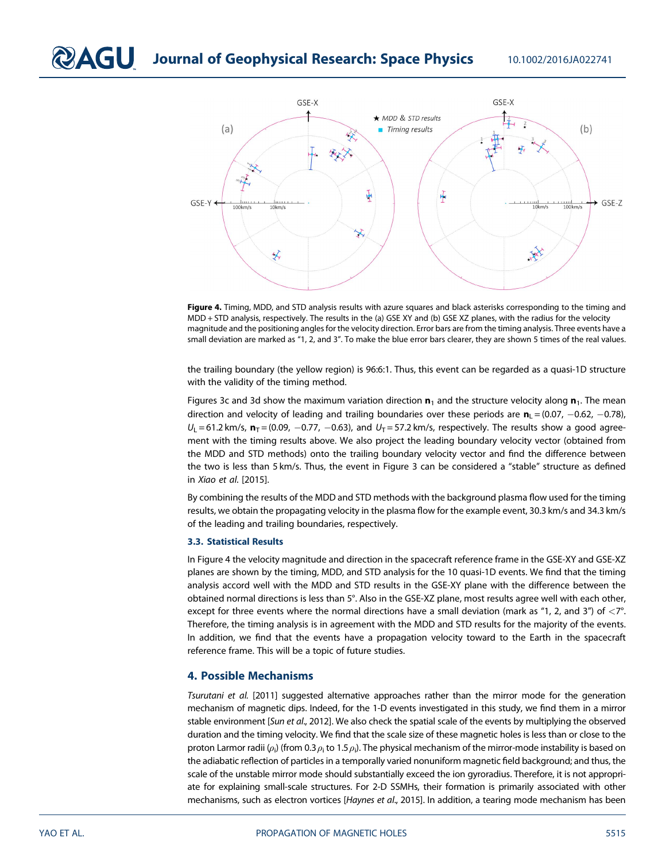

Figure 4. Timing, MDD, and STD analysis results with azure squares and black asterisks corresponding to the timing and MDD + STD analysis, respectively. The results in the (a) GSE XY and (b) GSE XZ planes, with the radius for the velocity magnitude and the positioning angles for the velocity direction. Error bars are from the timing analysis. Three events have a small deviation are marked as "1, 2, and 3". To make the blue error bars clearer, they are shown 5 times of the real values.

the trailing boundary (the yellow region) is 96:6:1. Thus, this event can be regarded as a quasi-1D structure with the validity of the timing method.

Figures 3c and 3d show the maximum variation direction  $n_1$  and the structure velocity along  $n_1$ . The mean direction and velocity of leading and trailing boundaries over these periods are  $n_1 = (0.07, -0.62, -0.78)$ ,  $U_1$  = 61.2 km/s,  $\mathbf{n}_T$  = (0.09, -0.77, -0.63), and  $U_T$  = 57.2 km/s, respectively. The results show a good agreement with the timing results above. We also project the leading boundary velocity vector (obtained from the MDD and STD methods) onto the trailing boundary velocity vector and find the difference between the two is less than 5 km/s. Thus, the event in Figure 3 can be considered a "stable" structure as defined in Xiao et al. [2015].

By combining the results of the MDD and STD methods with the background plasma flow used for the timing results, we obtain the propagating velocity in the plasma flow for the example event, 30.3 km/s and 34.3 km/s of the leading and trailing boundaries, respectively.

#### 3.3. Statistical Results

In Figure 4 the velocity magnitude and direction in the spacecraft reference frame in the GSE-XY and GSE-XZ planes are shown by the timing, MDD, and STD analysis for the 10 quasi-1D events. We find that the timing analysis accord well with the MDD and STD results in the GSE-XY plane with the difference between the obtained normal directions is less than 5°. Also in the GSE-XZ plane, most results agree well with each other, except for three events where the normal directions have a small deviation (mark as "1, 2, and 3") of  $\langle 7^{\circ}$ . Therefore, the timing analysis is in agreement with the MDD and STD results for the majority of the events. In addition, we find that the events have a propagation velocity toward to the Earth in the spacecraft reference frame. This will be a topic of future studies.

### 4. Possible Mechanisms

Tsurutani et al. [2011] suggested alternative approaches rather than the mirror mode for the generation mechanism of magnetic dips. Indeed, for the 1-D events investigated in this study, we find them in a mirror stable environment [Sun et al., 2012]. We also check the spatial scale of the events by multiplying the observed duration and the timing velocity. We find that the scale size of these magnetic holes is less than or close to the proton Larmor radii ( $\rho_i$ ) (from 0.3  $\rho_i$  to 1.5  $\rho_i$ ). The physical mechanism of the mirror-mode instability is based on the adiabatic reflection of particles in a temporally varied nonuniform magnetic field background; and thus, the scale of the unstable mirror mode should substantially exceed the ion gyroradius. Therefore, it is not appropriate for explaining small-scale structures. For 2-D SSMHs, their formation is primarily associated with other mechanisms, such as electron vortices [Haynes et al., 2015]. In addition, a tearing mode mechanism has been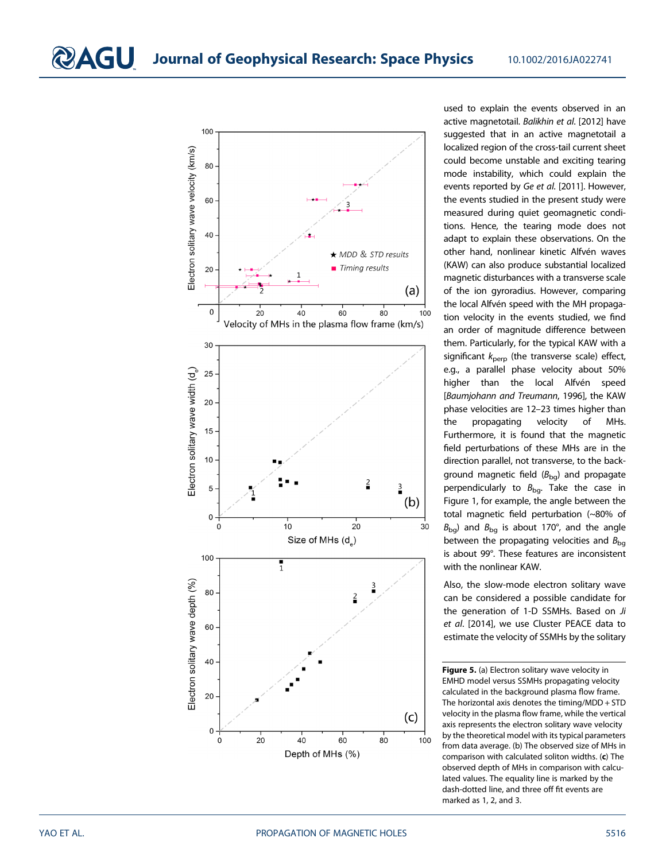

used to explain the events observed in an active magnetotail. Balikhin et al. [2012] have suggested that in an active magnetotail a localized region of the cross-tail current sheet could become unstable and exciting tearing mode instability, which could explain the events reported by Ge et al. [2011]. However, the events studied in the present study were measured during quiet geomagnetic conditions. Hence, the tearing mode does not adapt to explain these observations. On the other hand, nonlinear kinetic Alfvén waves (KAW) can also produce substantial localized magnetic disturbances with a transverse scale of the ion gyroradius. However, comparing the local Alfvén speed with the MH propagation velocity in the events studied, we find an order of magnitude difference between them. Particularly, for the typical KAW with a significant  $k_{\text{perp}}$  (the transverse scale) effect, e.g., a parallel phase velocity about 50% higher than the local Alfvén speed [Baumjohann and Treumann, 1996], the KAW phase velocities are 12–23 times higher than the propagating velocity of MHs. Furthermore, it is found that the magnetic field perturbations of these MHs are in the direction parallel, not transverse, to the background magnetic field  $(B_{\text{bg}})$  and propagate perpendicularly to  $B_{bg}$ . Take the case in Figure 1, for example, the angle between the total magnetic field perturbation (~80% of  $B_{\text{bg}}$ ) and  $B_{\text{bg}}$  is about 170°, and the angle between the propagating velocities and  $B_{ba}$ is about 99°. These features are inconsistent with the nonlinear KAW.

Also, the slow-mode electron solitary wave can be considered a possible candidate for the generation of 1-D SSMHs. Based on Ji et al. [2014], we use Cluster PEACE data to estimate the velocity of SSMHs by the solitary

Figure 5. (a) Electron solitary wave velocity in EMHD model versus SSMHs propagating velocity calculated in the background plasma flow frame. The horizontal axis denotes the timing/MDD + STD velocity in the plasma flow frame, while the vertical axis represents the electron solitary wave velocity by the theoretical model with its typical parameters from data average. (b) The observed size of MHs in comparison with calculated soliton widths. (c) The observed depth of MHs in comparison with calculated values. The equality line is marked by the dash-dotted line, and three off fit events are marked as 1, 2, and 3.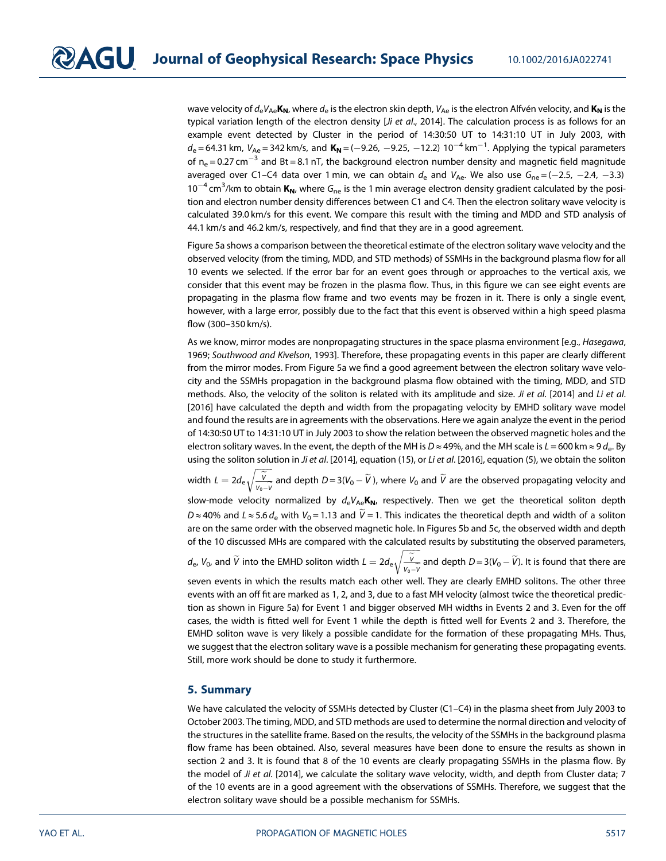wave velocity of  $d_eV_{Ae}K_N$ , where  $d_e$  is the electron skin depth,  $V_{Ae}$  is the electron Alfvén velocity, and  $K_N$  is the typical variation length of the electron density [*Ji et al.*, 2014]. The calculation process is as follows for an example event detected by Cluster in the period of 14:30:50 UT to 14:31:10 UT in July 2003, with  $d_{\rm e}$ =64.31 km,  $V_{\rm Ae}$ =342 km/s, and  $\rm\,K_N$ =(-9.26, -9.25, -12.2) 10<sup>-4</sup> km<sup>-1</sup>. Applying the typical parameters of  $n_e$  = 0.27 cm<sup>-3</sup> and Bt = 8.1 nT, the background electron number density and magnetic field magnitude averaged over C1–C4 data over 1 min, we can obtain  $d_e$  and  $V_{Ae}$ . We also use  $G_{ne} = (-2.5, -2.4, -3.3)$ 10<sup>-4</sup> cm<sup>3</sup>/km to obtain  $K_N$ , where  $G_{ne}$  is the 1 min average electron density gradient calculated by the position and electron number density differences between C1 and C4. Then the electron solitary wave velocity is calculated 39.0 km/s for this event. We compare this result with the timing and MDD and STD analysis of 44.1 km/s and 46.2 km/s, respectively, and find that they are in a good agreement.

Figure 5a shows a comparison between the theoretical estimate of the electron solitary wave velocity and the observed velocity (from the timing, MDD, and STD methods) of SSMHs in the background plasma flow for all 10 events we selected. If the error bar for an event goes through or approaches to the vertical axis, we consider that this event may be frozen in the plasma flow. Thus, in this figure we can see eight events are propagating in the plasma flow frame and two events may be frozen in it. There is only a single event, however, with a large error, possibly due to the fact that this event is observed within a high speed plasma flow (300–350 km/s).

As we know, mirror modes are nonpropagating structures in the space plasma environment [e.g., *Hasegawa*, 1969; Southwood and Kivelson, 1993]. Therefore, these propagating events in this paper are clearly different from the mirror modes. From Figure 5a we find a good agreement between the electron solitary wave velocity and the SSMHs propagation in the background plasma flow obtained with the timing, MDD, and STD methods. Also, the velocity of the soliton is related with its amplitude and size. Ji et al. [2014] and Li et al. [2016] have calculated the depth and width from the propagating velocity by EMHD solitary wave model and found the results are in agreements with the observations. Here we again analyze the event in the period of 14:30:50 UT to 14:31:10 UT in July 2003 to show the relation between the observed magnetic holes and the electron solitary waves. In the event, the depth of the MH is D ≈ 49%, and the MH scale is  $L = 600$  km  $\approx$  9  $d_e$ . By using the soliton solution in Ji et al. [2014], equation (15), or Li et al. [2016], equation (5), we obtain the soliton

width  $L=2d_e\sqrt{\frac{\widetilde{V}}{V_{\alpha-1}\widetilde{V}}}$  and depth  $D=3(V_0-\widetilde{V}$  ), where  $V_0$  and  $\widetilde{V}$  are the observed propagating velocity and  $V_0 - V$ 

slow-mode velocity normalized by  $d_{\rm e}V_{\rm Ae}$ K<sub>N</sub>, respectively. Then we get the theoretical soliton depth  $D \approx 40\%$  and  $L \approx 5.6\,d_{\rm e}$  with  $V_0$  = 1.13 and V = 1. This indicates the theoretical depth and width of a soliton are on the same order with the observed magnetic hole. In Figures 5b and 5c, the observed width and depth of the 10 discussed MHs are compared with the calculated results by substituting the observed parameters,

 $d_{\rm e}$ ,  $V_0$ , and  $\widetilde{V}$  into the EMHD soliton width  $L=2d_{\rm e}\sqrt{\frac{\widetilde{V}}{V-V_{\rm e}}}\widetilde{V}$  $V_0 - V$  $\sqrt{\frac{\widetilde{V}}{V_1 - V}}$  and depth  $D = 3(V_0 - \widetilde{V})$ . It is found that there are

seven events in which the results match each other well. They are clearly EMHD solitons. The other three events with an off fit are marked as 1, 2, and 3, due to a fast MH velocity (almost twice the theoretical prediction as shown in Figure 5a) for Event 1 and bigger observed MH widths in Events 2 and 3. Even for the off cases, the width is fitted well for Event 1 while the depth is fitted well for Events 2 and 3. Therefore, the EMHD soliton wave is very likely a possible candidate for the formation of these propagating MHs. Thus, we suggest that the electron solitary wave is a possible mechanism for generating these propagating events. Still, more work should be done to study it furthermore.

#### 5. Summary

We have calculated the velocity of SSMHs detected by Cluster (C1–C4) in the plasma sheet from July 2003 to October 2003. The timing, MDD, and STD methods are used to determine the normal direction and velocity of the structures in the satellite frame. Based on the results, the velocity of the SSMHs in the background plasma flow frame has been obtained. Also, several measures have been done to ensure the results as shown in section 2 and 3. It is found that 8 of the 10 events are clearly propagating SSMHs in the plasma flow. By the model of Ji et al. [2014], we calculate the solitary wave velocity, width, and depth from Cluster data; 7 of the 10 events are in a good agreement with the observations of SSMHs. Therefore, we suggest that the electron solitary wave should be a possible mechanism for SSMHs.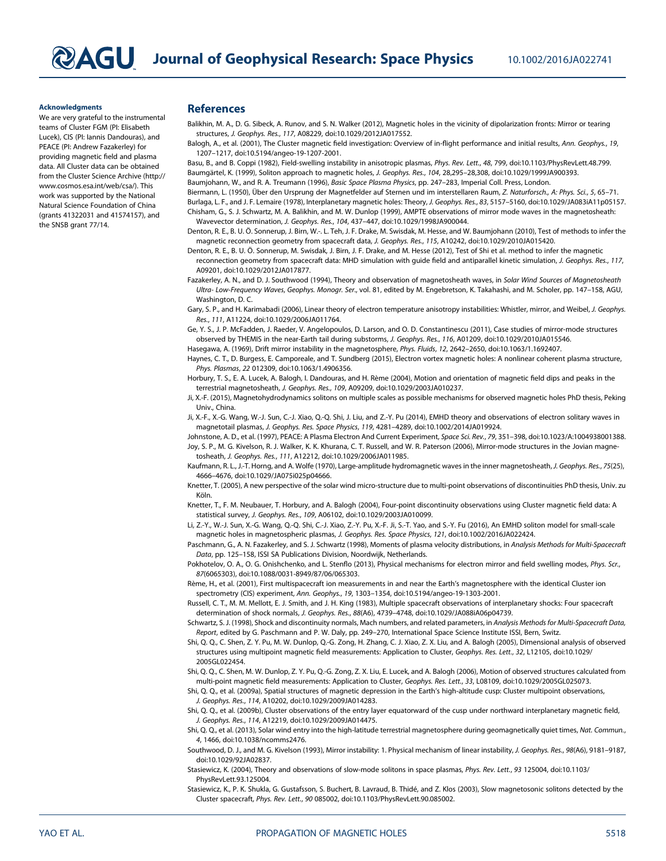#### Acknowledgments

We are very grateful to the instrumental teams of Cluster FGM (PI: Elisabeth Lucek), CIS (PI: Iannis Dandouras), and PEACE (PI: Andrew Fazakerley) for providing magnetic field and plasma data. All Cluster data can be obtained from the Cluster Science Archive (http:// www.cosmos.esa.int/web/csa/). This work was supported by the National Natural Science Foundation of China (grants 41322031 and 41574157), and the SNSB grant 77/14.

#### References

- Balikhin, M. A., D. G. Sibeck, A. Runov, and S. N. Walker (2012), Magnetic holes in the vicinity of dipolarization fronts: Mirror or tearing structures, J. Geophys. Res., 117, A08229, doi:10.1029/2012JA017552.
- Balogh, A., et al. (2001), The Cluster magnetic field investigation: Overview of in-flight performance and initial results, Ann. Geophys., 19, 1207–1217, doi:10.5194/angeo-19-1207-2001.

Basu, B., and B. Coppi (1982), Field-swelling instability in anisotropic plasmas, Phys. Rev. Lett., 48, 799, doi:10.1103/PhysRevLett.48.799. Baumgärtel, K. (1999), Soliton approach to magnetic holes, J. Geophys. Res., 104, 28,295–28,308, doi:10.1029/1999JA900393.

Baumjohann, W., and R. A. Treumann (1996), Basic Space Plasma Physics, pp. 247–283, Imperial Coll. Press, London.

Biermann, L. (1950), Über den Ursprung der Magnetfelder auf Sternen und im interstellaren Raum, Z. Naturforsch., A: Phys. Sci., 5, 65–71.

Burlaga, L. F., and J. F. Lemaire (1978), Interplanetary magnetic holes: Theory, J. Geophys. Res., 83, 5157–5160, doi:10.1029/JA083iA11p05157. Chisham, G., S. J. Schwartz, M. A. Balikhin, and M. W. Dunlop (1999), AMPTE observations of mirror mode waves in the magnetosheath: Wavevector determination, J. Geophys. Res., 104, 437–447, doi:10.1029/1998JA900044.

Denton, R. E., B. U. Ö. Sonnerup, J. Birn, W.-. L. Teh, J. F. Drake, M. Swisdak, M. Hesse, and W. Baumjohann (2010), Test of methods to infer the magnetic reconnection geometry from spacecraft data, J. Geophys. Res., 115, A10242, doi:10.1029/2010JA015420.

Denton, R. E., B. U. Ö. Sonnerup, M. Swisdak, J. Birn, J. F. Drake, and M. Hesse (2012), Test of Shi et al. method to infer the magnetic reconnection geometry from spacecraft data: MHD simulation with guide field and antiparallel kinetic simulation, J. Geophys. Res., 117, A09201, doi:10.1029/2012JA017877.

Fazakerley, A. N., and D. J. Southwood (1994), Theory and observation of magnetosheath waves, in Solar Wind Sources of Magnetosheath Ultra- Low-Frequency Waves, Geophys. Monogr. Ser., vol. 81, edited by M. Engebretson, K. Takahashi, and M. Scholer, pp. 147–158, AGU, Washington, D. C.

Gary, S. P., and H. Karimabadi (2006), Linear theory of electron temperature anisotropy instabilities: Whistler, mirror, and Weibel, J. Geophys. Res., 111, A11224, doi:10.1029/2006JA011764.

Ge, Y. S., J. P. McFadden, J. Raeder, V. Angelopoulos, D. Larson, and O. D. Constantinescu (2011), Case studies of mirror-mode structures observed by THEMIS in the near-Earth tail during substorms, J. Geophys. Res., 116, A01209, doi:10.1029/2010JA015546. Hasegawa, A. (1969), Drift mirror instability in the magnetosphere, Phys. Fluids, 12, 2642–2650, doi:10.1063/1.1692407.

Haynes, C. T., D. Burgess, E. Camporeale, and T. Sundberg (2015), Electron vortex magnetic holes: A nonlinear coherent plasma structure, Phys. Plasmas, 22 012309, doi:10.1063/1.4906356.

Horbury, T. S., E. A. Lucek, A. Balogh, I. Dandouras, and H. Rème (2004), Motion and orientation of magnetic field dips and peaks in the terrestrial magnetosheath, J. Geophys. Res., 109, A09209, doi:10.1029/2003JA010237.

Ji, X.-F. (2015), Magnetohydrodynamics solitons on multiple scales as possible mechanisms for observed magnetic holes PhD thesis, Peking Univ., China.

Ji, X.-F., X.-G. Wang, W.-J. Sun, C.-J. Xiao, Q.-Q. Shi, J. Liu, and Z.-Y. Pu (2014), EMHD theory and observations of electron solitary waves in magnetotail plasmas, J. Geophys. Res. Space Physics, 119, 4281–4289, doi:10.1002/2014JA019924.

Johnstone, A. D., et al. (1997), PEACE: A Plasma Electron And Current Experiment, Space Sci. Rev., 79, 351–398, doi:10.1023/A:1004938001388. Joy, S. P., M. G. Kivelson, R. J. Walker, K. K. Khurana, C. T. Russell, and W. R. Paterson (2006), Mirror-mode structures in the Jovian magnetosheath, J. Geophys. Res., 111, A12212, doi:10.1029/2006JA011985.

Kaufmann, R. L., J.-T. Horng, and A. Wolfe (1970), Large-amplitude hydromagnetic waves in the inner magnetosheath, J. Geophys. Res., 75(25), 4666–4676, doi:10.1029/JA075i025p04666.

Knetter, T. (2005), A new perspective of the solar wind micro-structure due to multi-point observations of discontinuities PhD thesis, Univ. zu Köln.

Knetter, T., F. M. Neubauer, T. Horbury, and A. Balogh (2004), Four-point discontinuity observations using Cluster magnetic field data: A statistical survey, J. Geophys. Res., 109, A06102, doi:10.1029/2003JA010099.

Li, Z.-Y., W.-J. Sun, X.-G. Wang, Q.-Q. Shi, C.-J. Xiao, Z.-Y. Pu, X.-F. Ji, S.-T. Yao, and S.-Y. Fu (2016), An EMHD soliton model for small-scale magnetic holes in magnetospheric plasmas, J. Geophys. Res. Space Physics, 121, doi:10.1002/2016JA022424.

Paschmann, G., A. N. Fazakerley, and S. J. Schwartz (1998), Moments of plasma velocity distributions, in Analysis Methods for Multi-Spacecraft Data, pp. 125–158, ISSI SA Publications Division, Noordwijk, Netherlands.

Pokhotelov, O. A., O. G. Onishchenko, and L. Stenflo (2013), Physical mechanisms for electron mirror and field swelling modes, Phys. Scr., 87(6065303), doi:10.1088/0031-8949/87/06/065303.

Rème, H., et al. (2001), First multispacecraft ion measurements in and near the Earth's magnetosphere with the identical Cluster ion spectrometry (CIS) experiment, Ann. Geophys., 19, 1303–1354, doi:10.5194/angeo-19-1303-2001.

Russell, C. T., M. M. Mellott, E. J. Smith, and J. H. King (1983), Multiple spacecraft observations of interplanetary shocks: Four spacecraft determination of shock normals, J. Geophys. Res., 88(A6), 4739–4748, doi:10.1029/JA088iA06p04739.

Schwartz, S. J. (1998), Shock and discontinuity normals, Mach numbers, and related parameters, in Analysis Methods for Multi-Spacecraft Data, Report, edited by G. Paschmann and P. W. Daly, pp. 249–270, International Space Science Institute ISSI, Bern, Switz.

Shi, Q. Q., C. Shen, Z. Y. Pu, M. W. Dunlop, Q.-G. Zong, H. Zhang, C. J. Xiao, Z. X. Liu, and A. Balogh (2005), Dimensional analysis of observed structures using multipoint magnetic field measurements: Application to Cluster, Geophys. Res. Lett., 32, L12105, doi:10.1029/ 2005GL022454.

Shi, Q. Q., C. Shen, M. W. Dunlop, Z. Y. Pu, Q.-G. Zong, Z. X. Liu, E. Lucek, and A. Balogh (2006), Motion of observed structures calculated from multi-point magnetic field measurements: Application to Cluster, Geophys. Res. Lett., 33, L08109, doi:10.1029/2005GL025073.

Shi, Q. Q., et al. (2009a), Spatial structures of magnetic depression in the Earth's high-altitude cusp: Cluster multipoint observations, J. Geophys. Res., 114, A10202, doi:10.1029/2009JA014283.

Shi, Q. Q., et al. (2009b), Cluster observations of the entry layer equatorward of the cusp under northward interplanetary magnetic field, J. Geophys. Res., 114, A12219, doi:10.1029/2009JA014475.

Shi, Q. Q., et al. (2013), Solar wind entry into the high-latitude terrestrial magnetosphere during geomagnetically quiet times, Nat. Commun., 4, 1466, doi:10.1038/ncomms2476.

Southwood, D. J., and M. G. Kivelson (1993), Mirror instability: 1. Physical mechanism of linear instability, J. Geophys. Res., 98(A6), 9181–9187, doi:10.1029/92JA02837.

Stasiewicz, K. (2004), Theory and observations of slow-mode solitons in space plasmas, Phys. Rev. Lett., 93 125004, doi:10.1103/ PhysRevLett.93.125004.

Stasiewicz, K., P. K. Shukla, G. Gustafsson, S. Buchert, B. Lavraud, B. Thidé, and Z. Klos (2003), Slow magnetosonic solitons detected by the Cluster spacecraft, Phys. Rev. Lett., 90 085002, doi:10.1103/PhysRevLett.90.085002.